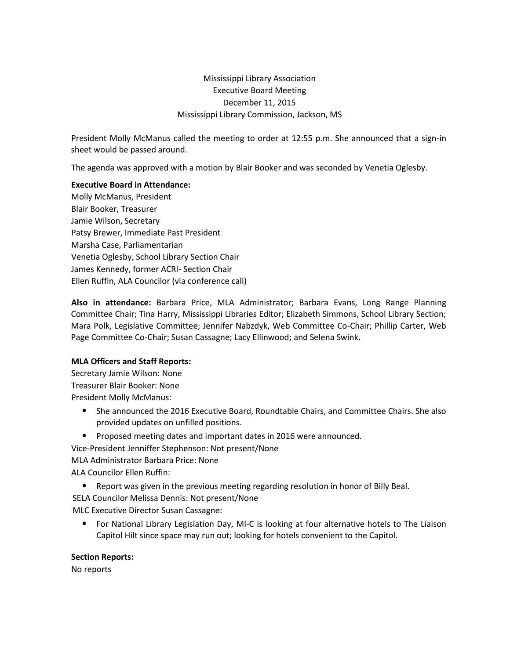# Mississippi Library Association Executive Board Meeting December 11, 2015 Mississippi Library Commission, Jackson, MS

President Molly McManus called the meeting to order at 12:55 p.m. She announced that a sign-in sheet would be passed around.

The agenda was approved with a motion by Blair Booker and was seconded by Venetia Oglesby.

## **Executive Board in Attendance:**

Molly McManus, President Blair Booker, Treasurer Jamie Wilson, Secretary Patsy Brewer, Immediate Past President Marsha Case, Parliamentarian Venetia Oglesby, School Library Section Chair James Kennedy, former ACRI- Section Chair Ellen Ruffin, ALA Councilor (via conference call)

**Also in attendance:** Barbara Price, MLA Administrator; Barbara Evans, Long Range Planning Committee Chair; Tina Harry, Mississippi Libraries Editor; Elizabeth Simmons, School Library Section; Mara Polk, Legislative Committee; Jennifer Nabzdyk, Web Committee Co-Chair; Phillip Carter, Web Page Committee Co-Chair; Susan Cassagne; Lacy Ellinwood; and Selena Swink.

## **MLA Officers and Staff Reports:**

Secretary Jamie Wilson: None Treasurer Blair Booker: None President Molly McManus:

- She announced the 2016 Executive Board, Roundtable Chairs, and Committee Chairs. She also provided updates on unfilled positions.
- Proposed meeting dates and important dates in 2016 were announced.
- Vice-President Jenniffer Stephenson: Not present/None

MLA Administrator Barbara Price: None

ALA Councilor Ellen Ruffin:

- Report was given in the previous meeting regarding resolution in honor of Billy Beal.
- SELA Councilor Melissa Dennis: Not present/None

MLC Executive Director Susan Cassagne:

• For National Library Legislation Day, Ml-C is looking at four alternative hotels to The Liaison Capitol Hilt since space may run out; looking for hotels convenient to the Capitol.

## **Section Reports:**

No reports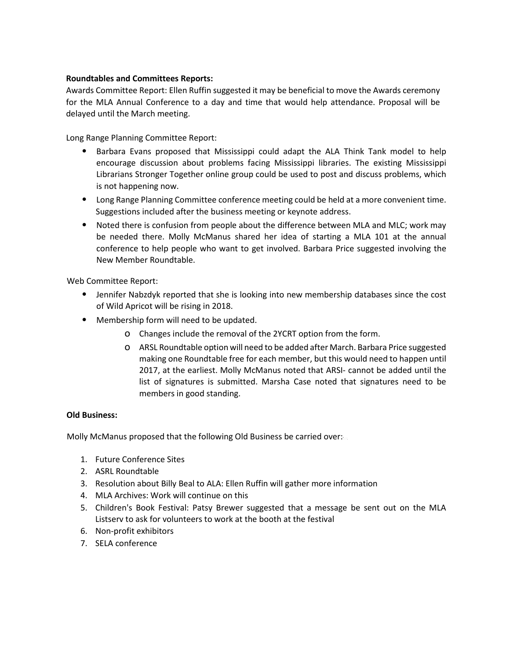### **Roundtables and Committees Reports:**

Awards Committee Report: Ellen Ruffin suggested it may be beneficial to move the Awards ceremony for the MLA Annual Conference to a day and time that would help attendance. Proposal will be delayed until the March meeting.

Long Range Planning Committee Report:

- Barbara Evans proposed that Mississippi could adapt the ALA Think Tank model to help encourage discussion about problems facing Mississippi libraries. The existing Mississippi Librarians Stronger Together online group could be used to post and discuss problems, which is not happening now.
- Long Range Planning Committee conference meeting could be held at a more convenient time. Suggestions included after the business meeting or keynote address.
- Noted there is confusion from people about the difference between MLA and MLC; work may be needed there. Molly McManus shared her idea of starting a MLA 101 at the annual conference to help people who want to get involved. Barbara Price suggested involving the New Member Roundtable.

Web Committee Report:

- Jennifer Nabzdyk reported that she is looking into new membership databases since the cost of Wild Apricot will be rising in 2018.
- Membership form will need to be updated.
	- o Changes include the removal of the 2YCRT option from the form.
	- o ARSL Roundtable option will need to be added after March. Barbara Price suggested making one Roundtable free for each member, but this would need to happen until 2017, at the earliest. Molly McManus noted that ARSI- cannot be added until the list of signatures is submitted. Marsha Case noted that signatures need to be members in good standing.

#### **Old Business:**

Molly McManus proposed that the following Old Business be carried over:

- 1. Future Conference Sites
- 2. ASRL Roundtable
- 3. Resolution about Billy Beal to ALA: Ellen Ruffin will gather more information
- 4. MLA Archives: Work will continue on this
- 5. Children's Book Festival: Patsy Brewer suggested that a message be sent out on the MLA Listserv to ask for volunteers to work at the booth at the festival
- 6. Non-profit exhibitors
- 7. SELA conference